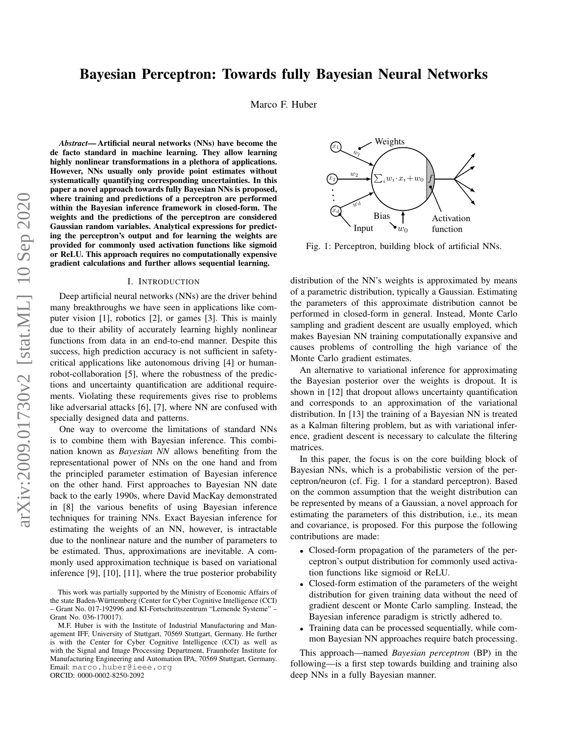# Bayesian Perceptron: Towards fully Bayesian Neural Networks

Marco F. Huber

*Abstract*— Artificial neural networks (NNs) have become the de facto standard in machine learning. They allow learning highly nonlinear transformations in a plethora of applications. However, NNs usually only provide point estimates without systematically quantifying corresponding uncertainties. In this paper a novel approach towards fully Bayesian NNs is proposed, where training and predictions of a perceptron are performed within the Bayesian inference framework in closed-form. The weights and the predictions of the perceptron are considered Gaussian random variables. Analytical expressions for predicting the perceptron's output and for learning the weights are provided for commonly used activation functions like sigmoid or ReLU. This approach requires no computationally expensive gradient calculations and further allows sequential learning.

### I. INTRODUCTION

Deep artificial neural networks (NNs) are the driver behind many breakthroughs we have seen in applications like computer vision [1], robotics [2], or games [3]. This is mainly due to their ability of accurately learning highly nonlinear functions from data in an end-to-end manner. Despite this success, high prediction accuracy is not sufficient in safetycritical applications like autonomous driving [4] or humanrobot-collaboration [5], where the robustness of the predictions and uncertainty quantification are additional requirements. Violating these requirements gives rise to problems like adversarial attacks [6], [7], where NN are confused with specially designed data and patterns.

One way to overcome the limitations of standard NNs is to combine them with Bayesian inference. This combination known as *Bayesian NN* allows benefiting from the representational power of NNs on the one hand and from the principled parameter estimation of Bayesian inference on the other hand. First approaches to Bayesian NN date back to the early 1990s, where David MacKay demonstrated in [8] the various benefits of using Bayesian inference techniques for training NNs. Exact Bayesian inference for estimating the weights of an NN, however, is intractable due to the nonlinear nature and the number of parameters to be estimated. Thus, approximations are inevitable. A commonly used approximation technique is based on variational inference [9], [10], [11], where the true posterior probability

ORCID: 0000-0002-8250-2092

P  $iw_i \cdot x_i+w_0$  $x_1$   $w_1$  $w_2$ wd  $x_d$ Input  $\mathbf{w}_0$ Bias Weights Activation function

Fig. 1: Perceptron, building block of artificial NNs.

distribution of the NN's weights is approximated by means of a parametric distribution, typically a Gaussian. Estimating the parameters of this approximate distribution cannot be performed in closed-form in general. Instead, Monte Carlo sampling and gradient descent are usually employed, which makes Bayesian NN training computationally expansive and causes problems of controlling the high variance of the Monte Carlo gradient estimates.

An alternative to variational inference for approximating the Bayesian posterior over the weights is dropout. It is shown in [12] that dropout allows uncertainty quantification and corresponds to an approximation of the variational distribution. In [13] the training of a Bayesian NN is treated as a Kalman filtering problem, but as with variational inference, gradient descent is necessary to calculate the filtering matrices.

In this paper, the focus is on the core building block of Bayesian NNs, which is a probabilistic version of the perceptron/neuron (cf. Fig. 1 for a standard perceptron). Based on the common assumption that the weight distribution can be represented by means of a Gaussian, a novel approach for estimating the parameters of this distribution, i.e., its mean and covariance, is proposed. For this purpose the following contributions are made:

- Closed-form propagation of the parameters of the perceptron's output distribution for commonly used activation functions like sigmoid or ReLU.
- Closed-form estimation of the parameters of the weight distribution for given training data without the need of gradient descent or Monte Carlo sampling. Instead, the Bayesian inference paradigm is strictly adhered to.
- Training data can be processed sequentially, while common Bayesian NN approaches require batch processing.

This approach—named *Bayesian perceptron* (BP) in the following—is a first step towards building and training also deep NNs in a fully Bayesian manner.

This work was partially supported by the Ministry of Economic Affairs of the state Baden-Württemberg (Center for Cyber Cognitive Intelligence (CCI) – Grant No. 017-192996 and KI-Fortschrittszentrum "Lernende Systeme" – Grant No. 036-170017).

M.F. Huber is with the Institute of Industrial Manufacturing and Management IFF, University of Stuttgart, 70569 Stuttgart, Germany. He further is with the Center for Cyber Cognitive Intelligence (CCI) as well as with the Signal and Image Processing Department, Fraunhofer Institute for Manufacturing Engineering and Automation IPA, 70569 Stuttgart, Germany. Email: marco.huber@ieee.org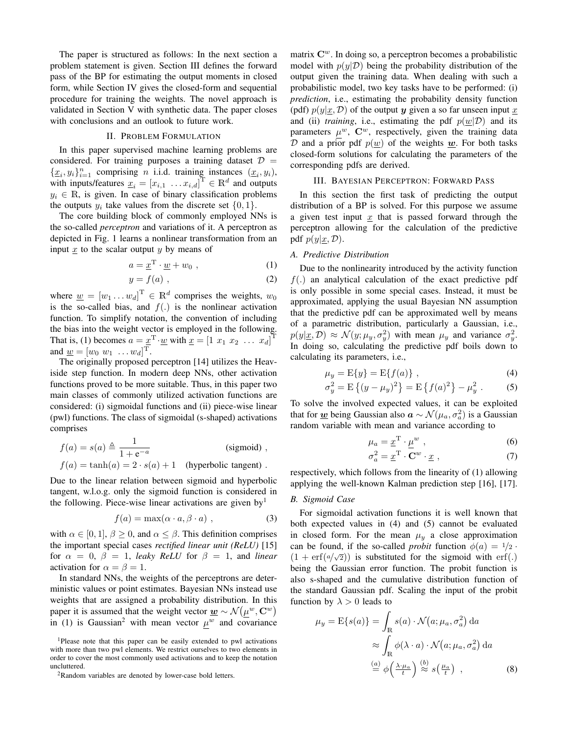The paper is structured as follows: In the next section a problem statement is given. Section III defines the forward pass of the BP for estimating the output moments in closed form, while Section IV gives the closed-form and sequential procedure for training the weights. The novel approach is validated in Section V with synthetic data. The paper closes with conclusions and an outlook to future work.

## II. PROBLEM FORMULATION

In this paper supervised machine learning problems are considered. For training purposes a training dataset  $\mathcal{D}$  =  $\{\underline{x}_i, y_i\}_{i=1}^n$  comprising *n* i.i.d. training instances  $(\underline{x}_i, y_i)$ , with inputs/features  $\underline{x}_i = [x_{i,1} \dots x_{i,d}]^{\text{T}} \in \mathbb{R}^d$  and outputs  $y_i \in \mathbb{R}$ , is given. In case of binary classification problems the outputs  $y_i$  take values from the discrete set  $\{0, 1\}.$ 

The core building block of commonly employed NNs is the so-called *perceptron* and variations of it. A perceptron as depicted in Fig. 1 learns a nonlinear transformation from an input  $x$  to the scalar output  $y$  by means of

$$
a = \underline{x}^{\mathrm{T}} \cdot \underline{w} + w_0 , \qquad (1)
$$

$$
y = f(a) \tag{2}
$$

where  $\underline{w} = [w_1 \dots w_d]^{\text{T}} \in \mathbb{R}^d$  comprises the weights,  $w_0$ is the so-called bias, and  $f(.)$  is the nonlinear activation function. To simplify notation, the convention of including the bias into the weight vector is employed in the following. That is, (1) becomes  $a = \underline{x}^T \cdot \underline{w}$  with  $\underline{x} = \begin{bmatrix} 1 & x_1 & x_2 & \dots & x_d \end{bmatrix}^T$ and  $\underline{w} = [w_0 \ w_1 \ \ldots \ w_d]^\mathrm{T}.$ 

The originally proposed perceptron [14] utilizes the Heaviside step function. In modern deep NNs, other activation functions proved to be more suitable. Thus, in this paper two main classes of commonly utilized activation functions are considered: (i) sigmoidal functions and (ii) piece-wise linear (pwl) functions. The class of sigmoidal (s-shaped) activations comprises

$$
f(a) = s(a) \triangleq \frac{1}{1 + e^{-a}}
$$
 (sigmoid),  
\n
$$
f(a) = \tanh(a) = 2 \cdot s(a) + 1
$$
 (hyperbolic tangent).

Due to the linear relation between sigmoid and hyperbolic tangent, w.l.o.g. only the sigmoid function is considered in the following. Piece-wise linear activations are given by  $\mathbf{y}^1$ 

$$
f(a) = \max(\alpha \cdot a, \beta \cdot a) , \qquad (3)
$$

with  $\alpha \in [0, 1], \beta \ge 0$ , and  $\alpha \le \beta$ . This definition comprises the important special cases *rectified linear unit (ReLU)* [15] for  $\alpha = 0$ ,  $\beta = 1$ , *leaky ReLU* for  $\beta = 1$ , and *linear* activation for  $\alpha = \beta = 1$ .

In standard NNs, the weights of the perceptrons are deterministic values or point estimates. Bayesian NNs instead use weights that are assigned a probability distribution. In this paper it is assumed that the weight vector  $\underline{\boldsymbol{w}} \sim \mathcal{N}(\mu^{\boldsymbol{w}}, \mathbf{C}^{\boldsymbol{w}})$ in (1) is Gaussian<sup>2</sup> with mean vector  $\mu^w$  and covariance

matrix  $\mathbb{C}^w$ . In doing so, a perceptron becomes a probabilistic model with  $p(y|\mathcal{D})$  being the probability distribution of the output given the training data. When dealing with such a probabilistic model, two key tasks have to be performed: (i) *prediction*, i.e., estimating the probability density function (pdf)  $p(y|x, D)$  of the output y given a so far unseen input x and (ii) *training*, i.e., estimating the pdf  $p(w|D)$  and its parameters  $\mu^w$ ,  $\mathbb{C}^w$ , respectively, given the training data D and a prior pdf  $p(w)$  of the weights w. For both tasks closed-form solutions for calculating the parameters of the corresponding pdfs are derived.

#### III. BAYESIAN PERCEPTRON: FORWARD PASS

In this section the first task of predicting the output distribution of a BP is solved. For this purpose we assume a given test input  $x$  that is passed forward through the perceptron allowing for the calculation of the predictive pdf  $p(y|\underline{x}, \mathcal{D})$ .

### *A. Predictive Distribution*

Due to the nonlinearity introduced by the activity function  $f(.)$  an analytical calculation of the exact predictive pdf is only possible in some special cases. Instead, it must be approximated, applying the usual Bayesian NN assumption that the predictive pdf can be approximated well by means of a parametric distribution, particularly a Gaussian, i.e.,  $p(y|\underline{x}, \mathcal{D}) \approx \mathcal{N}(y; \mu_y, \sigma_y^2)$  with mean  $\mu_y$  and variance  $\sigma_y^2$ . In doing so, calculating the predictive pdf boils down to calculating its parameters, i.e.,

$$
\mu_y = E\{y\} = E\{f(a)\},\tag{4}
$$

$$
\sigma_y^2 = \mathcal{E}\left\{(y - \mu_y)^2\right\} = \mathcal{E}\left\{f(a)^2\right\} - \mu_y^2. \tag{5}
$$

To solve the involved expected values, it can be exploited that for  $\underline{\boldsymbol{w}}$  being Gaussian also  $\boldsymbol{a} \sim \mathcal{N}(\mu_a, \sigma_a^2)$  is a Gaussian random variable with mean and variance according to

$$
\mu_a = \underline{x}^{\mathrm{T}} \cdot \underline{\mu}^w ,
$$
\n
$$
\sigma_a^2 = \underline{x}^{\mathrm{T}} \cdot \mathbf{C}^w \cdot \underline{x} ,
$$
\n(6)

respectively, which follows from the linearity of (1) allowing applying the well-known Kalman prediction step [16], [17].

### *B. Sigmoid Case*

For sigmoidal activation functions it is well known that both expected values in (4) and (5) cannot be evaluated in closed form. For the mean  $\mu_y$  a close approximation can be found, if the so-called *probit* function  $\phi(a) = 1/2$ .  $(1 + erf(a/\sqrt{2}))$  is substituted for the sigmoid with erf(.) being the Gaussian error function. The probit function is also s-shaped and the cumulative distribution function of the standard Gaussian pdf. Scaling the input of the probit function by  $\lambda > 0$  leads to

$$
\mu_y = \mathcal{E}\{s(a)\} = \int_{\mathbb{R}} s(a) \cdot \mathcal{N}(a; \mu_a, \sigma_a^2) da
$$

$$
\approx \int_{\mathbb{R}} \phi(\lambda \cdot a) \cdot \mathcal{N}(a; \mu_a, \sigma_a^2) da
$$

$$
\stackrel{(a)}{=} \phi\left(\frac{\lambda \cdot \mu_a}{t}\right) \stackrel{(b)}{\approx} s\left(\frac{\mu_a}{t}\right) , \tag{8}
$$

<sup>&</sup>lt;sup>1</sup>Please note that this paper can be easily extended to pwl activations with more than two pwl elements. We restrict ourselves to two elements in order to cover the most commonly used activations and to keep the notation uncluttered.

<sup>2</sup>Random variables are denoted by lower-case bold letters.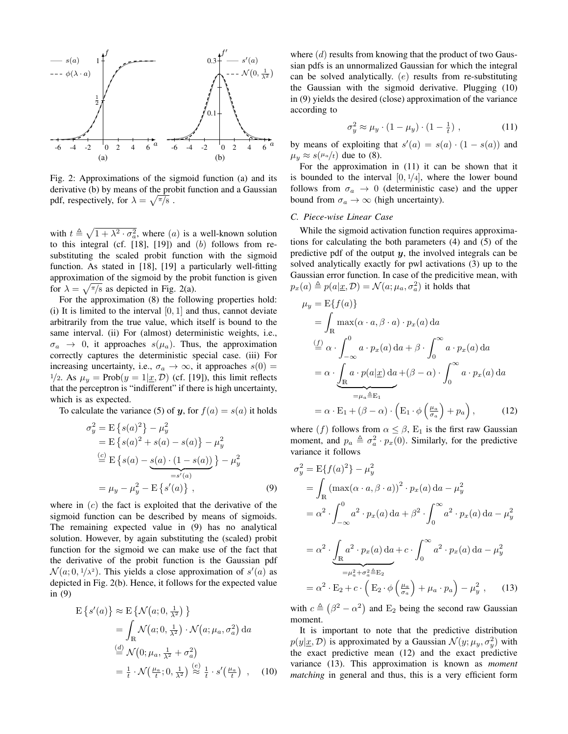

Fig. 2: Approximations of the sigmoid function (a) and its derivative (b) by means of the probit function and a Gaussian pdf, respectively, for  $\lambda = \sqrt{\pi/8}$ .

with  $t \triangleq \sqrt{1 + \lambda^2 \cdot \sigma_a^2}$ , where (a) is a well-known solution to this integral (cf.  $[18]$ ,  $[19]$ ) and  $(b)$  follows from resubstituting the scaled probit function with the sigmoid function. As stated in [18], [19] a particularly well-fitting approximation of the sigmoid by the probit function is given for  $\lambda = \sqrt{\frac{\pi}{8}}$  as depicted in Fig. 2(a).

For the approximation (8) the following properties hold: (i) It is limited to the interval  $[0, 1]$  and thus, cannot deviate arbitrarily from the true value, which itself is bound to the same interval. (ii) For (almost) deterministic weights, i.e.,  $\sigma_a \rightarrow 0$ , it approaches  $s(\mu_a)$ . Thus, the approximation correctly captures the deterministic special case. (iii) For increasing uncertainty, i.e.,  $\sigma_a \rightarrow \infty$ , it approaches  $s(0)$  =  $1/2$ . As  $\mu_y = \text{Prob}(y = 1 | \underline{x}, \mathcal{D})$  (cf. [19]), this limit reflects that the perceptron is "indifferent" if there is high uncertainty, which is as expected.

To calculate the variance (5) of y, for  $f(a) = s(a)$  it holds

$$
\sigma_y^2 = \mathbf{E} \{ s(a)^2 \} - \mu_y^2
$$
  
=  $\mathbf{E} \{ s(a)^2 + s(a) - s(a) \} - \mu_y^2$   

$$
\stackrel{(c)}{=} \mathbf{E} \{ s(a) - s(a) \cdot (1 - s(a)) \} - \mu_y^2
$$
  

$$
= \mu_y - \mu_y^2 - \mathbf{E} \{ s'(a) \},
$$
 (9)

where in  $(c)$  the fact is exploited that the derivative of the sigmoid function can be described by means of sigmoids. The remaining expected value in (9) has no analytical solution. However, by again substituting the (scaled) probit function for the sigmoid we can make use of the fact that the derivative of the probit function is the Gaussian pdf  $\mathcal{N}(a; 0, 1/\lambda^2)$ . This yields a close approximation of  $s'(a)$  as depicted in Fig. 2(b). Hence, it follows for the expected value in (9)

$$
E\left\{s'(a)\right\} \approx E\left\{\mathcal{N}\left(a; 0, \frac{1}{\lambda^2}\right)\right\}
$$
  
= 
$$
\int_{\mathbb{R}} \mathcal{N}\left(a; 0, \frac{1}{\lambda^2}\right) \cdot \mathcal{N}\left(a; \mu_a, \sigma_a^2\right) da
$$
  

$$
\stackrel{(d)}{=} \mathcal{N}\left(0; \mu_a, \frac{1}{\lambda^2} + \sigma_a^2\right)
$$
  
= 
$$
\frac{1}{t} \cdot \mathcal{N}\left(\frac{\mu_a}{t}; 0, \frac{1}{\lambda^2}\right) \stackrel{(e)}{\approx} \frac{1}{t} \cdot s'\left(\frac{\mu_a}{t}\right) , \quad (10)
$$

where  $(d)$  results from knowing that the product of two Gaussian pdfs is an unnormalized Gaussian for which the integral can be solved analytically. (e) results from re-substituting the Gaussian with the sigmoid derivative. Plugging (10) in (9) yields the desired (close) approximation of the variance according to

$$
\sigma_y^2 \approx \mu_y \cdot (1 - \mu_y) \cdot (1 - \frac{1}{t}) \tag{11}
$$

by means of exploiting that  $s'(a) = s(a) \cdot (1 - s(a))$  and  $\mu_y \approx s(\mu_a/t)$  due to (8).

For the approximation in (11) it can be shown that it is bounded to the interval  $[0, \frac{1}{4}]$ , where the lower bound follows from  $\sigma_a \rightarrow 0$  (deterministic case) and the upper bound from  $\sigma_a \rightarrow \infty$  (high uncertainty).

### *C. Piece-wise Linear Case*

While the sigmoid activation function requires approximations for calculating the both parameters (4) and (5) of the predictive pdf of the output  $y$ , the involved integrals can be solved analytically exactly for pwl activations (3) up to the Gaussian error function. In case of the predicitive mean, with  $p_x(a) \triangleq p(a|\underline{x}, \mathcal{D}) = \mathcal{N}(a; \mu_a, \sigma_a^2)$  it holds that

$$
\mu_y = E\{f(a)\}\
$$
  
=  $\int_{\mathbb{R}} \max(\alpha \cdot a, \beta \cdot a) \cdot p_x(a) da$   

$$
\stackrel{(f)}{=} \alpha \cdot \int_{-\infty}^{0} a \cdot p_x(a) da + \beta \cdot \int_{0}^{\infty} a \cdot p_x(a) da
$$
  
=  $\alpha \cdot \underbrace{\int_{\mathbb{R}} a \cdot p(a|\underline{x}) da}_{= \mu_a \triangleq E_1} + (\beta - \alpha) \cdot \int_{0}^{\infty} a \cdot p_x(a) da$   
=  $\alpha \cdot E_1 + (\beta - \alpha) \cdot (E_1 \cdot \phi \left(\frac{\mu_a}{\sigma_a}\right) + p_a),$  (12)

where (f) follows from  $\alpha \leq \beta$ , E<sub>1</sub> is the first raw Gaussian moment, and  $p_a \triangleq \sigma_a^2 \cdot p_x(0)$ . Similarly, for the predictive variance it follows

$$
\sigma_y^2 = \mathcal{E}\{f(a)^2\} - \mu_y^2
$$
  
\n
$$
= \int_{\mathbb{R}} (\max(\alpha \cdot a, \beta \cdot a))^2 \cdot p_x(a) da - \mu_y^2
$$
  
\n
$$
= \alpha^2 \cdot \int_{-\infty}^0 a^2 \cdot p_x(a) da + \beta^2 \cdot \int_0^\infty a^2 \cdot p_x(a) da - \mu_y^2
$$
  
\n
$$
= \alpha^2 \cdot \underbrace{\int_{\mathbb{R}} a^2 \cdot p_x(a) da}_{= \mu_a^2 + \sigma_a^2 \triangleq \mathcal{E}_2} + c \cdot \int_0^\infty a^2 \cdot p_x(a) da - \mu_y^2
$$
  
\n
$$
= \alpha^2 \cdot \mathcal{E}_2 + c \cdot \left(\mathcal{E}_2 \cdot \phi\left(\frac{\mu_a}{\sigma_a}\right) + \mu_a \cdot p_a\right) - \mu_y^2, \quad (13)
$$

with  $c \triangleq (\beta^2 - \alpha^2)$  and E<sub>2</sub> being the second raw Gaussian moment.

It is important to note that the predictive distribution  $p(y|\underline{x}, \mathcal{D})$  is approximated by a Gaussian  $\mathcal{N}(y; \mu_y, \sigma_y^2)$  with the exact predictive mean (12) and the exact predictive variance (13). This approximation is known as *moment matching* in general and thus, this is a very efficient form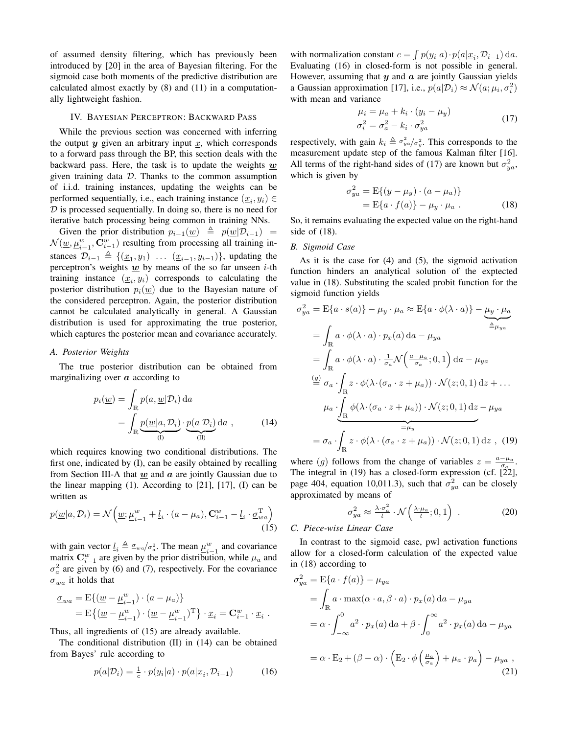of assumed density filtering, which has previously been introduced by [20] in the area of Bayesian filtering. For the sigmoid case both moments of the predictive distribution are calculated almost exactly by (8) and (11) in a computationally lightweight fashion.

### IV. BAYESIAN PERCEPTRON: BACKWARD PASS

While the previous section was concerned with inferring the output  $y$  given an arbitrary input  $x$ , which corresponds to a forward pass through the BP, this section deals with the backward pass. Here, the task is to update the weights  $w$ given training data  $D$ . Thanks to the common assumption of i.i.d. training instances, updating the weights can be performed sequentially, i.e., each training instance  $(\underline{x}_i, y_i) \in$  $D$  is processed sequentially. In doing so, there is no need for iterative batch processing being common in training NNs.

Given the prior distribution  $p_{i-1}(\underline{w}) \triangleq p(\underline{w}|\mathcal{D}_{i-1}) =$  $\mathcal{N}(\underline{w}, \underline{\mu}_{i-1}^w, \mathbf{C}_{i-1}^w)$  resulting from processing all training instances  $\mathcal{D}_{i-1} \triangleq \{(\underline{x}_1, y_1) \dots (\underline{x}_{i-1}, y_{i-1})\}$ , updating the perceptron's weights  $\underline{w}$  by means of the so far unseen *i*-th training instance  $(x_i, y_i)$  corresponds to calculating the posterior distribution  $p_i(\underline{w})$  due to the Bayesian nature of the considered perceptron. Again, the posterior distribution cannot be calculated analytically in general. A Gaussian distribution is used for approximating the true posterior, which captures the posterior mean and covariance accurately.

### *A. Posterior Weights*

The true posterior distribution can be obtained from marginalizing over  $\alpha$  according to

$$
p_i(\underline{w}) = \int_{\mathbb{R}} p(a, \underline{w} | \mathcal{D}_i) da
$$
  
= 
$$
\int_{\mathbb{R}} \underbrace{p(\underline{w} | a, \mathcal{D}_i)}_{(I)} \cdot \underbrace{p(a | \mathcal{D}_i)}_{(II)} da , \qquad (14)
$$

which requires knowing two conditional distributions. The first one, indicated by (I), can be easily obtained by recalling from Section III-A that  $w$  and  $a$  are jointly Gaussian due to the linear mapping  $(1)$ . According to  $[21]$ ,  $[17]$ ,  $(I)$  can be written as

$$
p(\underline{w}|a,\mathcal{D}_i) = \mathcal{N}\left(\underline{w}; \underline{\mu}_{i-1}^w + \underline{l}_i \cdot (a - \mu_a), \mathbf{C}_{i-1}^w - \underline{l}_i \cdot \underline{\sigma}_{wa}^{\mathrm{T}}\right)
$$
\n(15)

with gain vector  $\underline{l}_i \triangleq \frac{\sigma_{wa}}{\sigma_a^2}$ . The mean  $\underline{\mu}_{i-1}^w$  and covariance matrix  $\mathbf{C}_{i-1}^w$  are given by the prior distribution, while  $\mu_a$  and  $\sigma_a^2$  are given by (6) and (7), respectively. For the covariance  $\sigma_{wa}$  it holds that

$$
\underline{\sigma}_{wa} = \mathbf{E}\{(\underline{w} - \underline{\mu}_{i-1}^w) \cdot (a - \mu_a)\}
$$
  
=  $\mathbf{E}\{(\underline{w} - \underline{\mu}_{i-1}^w) \cdot (\underline{w} - \underline{\mu}_{i-1}^w)^T\} \cdot \underline{x}_i = \mathbf{C}_{i-1}^w \cdot \underline{x}_i$ .

Thus, all ingredients of (15) are already available.

The conditional distribution (II) in (14) can be obtained from Bayes' rule according to

$$
p(a|\mathcal{D}_i) = \frac{1}{c} \cdot p(y_i|a) \cdot p(a|\underline{x}_i, \mathcal{D}_{i-1}) \tag{16}
$$

with normalization constant  $c = \int p(y_i|a) \cdot p(a|\underline{x}_i, \mathcal{D}_{i-1}) da$ . Evaluating (16) in closed-form is not possible in general. However, assuming that  $y$  and  $a$  are jointly Gaussian yields a Gaussian approximation [17], i.e.,  $p(a|\mathcal{D}_i) \approx \mathcal{N}(a; \mu_i, \sigma_i^2)$ with mean and variance

$$
\mu_i = \mu_a + k_i \cdot (y_i - \mu_y) \n\sigma_i^2 = \sigma_a^2 - k_i \cdot \sigma_{ya}^2
$$
\n(17)

respectively, with gain  $k_i \triangleq \sigma_{ya}^2/\sigma_y^2$ . This corresponds to the measurement update step of the famous Kalman filter [16]. All terms of the right-hand sides of (17) are known but  $\sigma_{ya}^2$ , which is given by

$$
\sigma_{ya}^2 = \mathcal{E}\{(y - \mu_y) \cdot (a - \mu_a)\}
$$
  
= 
$$
\mathcal{E}\{a \cdot f(a)\} - \mu_y \cdot \mu_a
$$
. (18)

So, it remains evaluating the expected value on the right-hand side of (18).

#### *B. Sigmoid Case*

As it is the case for (4) and (5), the sigmoid activation function hinders an analytical solution of the exptected value in (18). Substituting the scaled probit function for the sigmoid function yields

$$
\sigma_{ya}^{2} = \mathbb{E}\{a \cdot s(a)\} - \mu_{y} \cdot \mu_{a} \approx \mathbb{E}\{a \cdot \phi(\lambda \cdot a)\} - \underbrace{\mu_{y} \cdot \mu_{a}}_{\triangleq \mu_{ya}}
$$
\n
$$
= \int_{\mathbb{R}} a \cdot \phi(\lambda \cdot a) \cdot p_{x}(a) da - \mu_{ya}
$$
\n
$$
= \int_{\mathbb{R}} a \cdot \phi(\lambda \cdot a) \cdot \frac{1}{\sigma_{a}} \mathcal{N}\left(\frac{a - \mu_{a}}{\sigma_{a}}; 0, 1\right) da - \mu_{ya}
$$
\n
$$
\stackrel{(g)}{=} \sigma_{a} \cdot \int_{\mathbb{R}} z \cdot \phi(\lambda \cdot (\sigma_{a} \cdot z + \mu_{a})) \cdot \mathcal{N}(z; 0, 1) dz + \dots
$$
\n
$$
\mu_{a} \cdot \underbrace{\int_{\mathbb{R}} \phi(\lambda \cdot (\sigma_{a} \cdot z + \mu_{a})) \cdot \mathcal{N}(z; 0, 1) dz}_{= \mu_{y}} - \sigma_{a} \cdot \underbrace{\int_{\mathbb{R}} z \cdot \phi(\lambda \cdot (\sigma_{a} \cdot z + \mu_{a})) \cdot \mathcal{N}(z; 0, 1) dz}_{= \mu_{y}},
$$
\n(19)

where (g) follows from the change of variables  $z = \frac{a - \mu_a}{\sigma_a}$ . The integral in  $(19)$  has a closed-form expression (cf.  $[22]$ , page 404, equation 10,011.3), such that  $\sigma_{ya}^2$  can be closely approximated by means of

$$
\sigma_{ya}^2 \approx \frac{\lambda \cdot \sigma_a^2}{t} \cdot \mathcal{N}\left(\frac{\lambda \cdot \mu_a}{t}; 0, 1\right) \tag{20}
$$

## *C. Piece-wise Linear Case*

In contrast to the sigmoid case, pwl activation functions allow for a closed-form calculation of the expected value in (18) according to

$$
\sigma_{ya}^{2} = \mathbb{E}\{a \cdot f(a)\} - \mu_{ya}
$$
  
=  $\int_{\mathbb{R}} a \cdot \max(\alpha \cdot a, \beta \cdot a) \cdot p_{x}(a) da - \mu_{ya}$   
=  $\alpha \cdot \int_{-\infty}^{0} a^{2} \cdot p_{x}(a) da + \beta \cdot \int_{0}^{\infty} a^{2} \cdot p_{x}(a) da - \mu_{ya}$   
=  $\alpha \cdot \mathbb{E}_{2} + (\beta - \alpha) \cdot (\mathbb{E}_{2} \cdot \phi\left(\frac{\mu_{a}}{\sigma_{a}}\right) + \mu_{a} \cdot p_{a}) - \mu_{ya}$ , (21)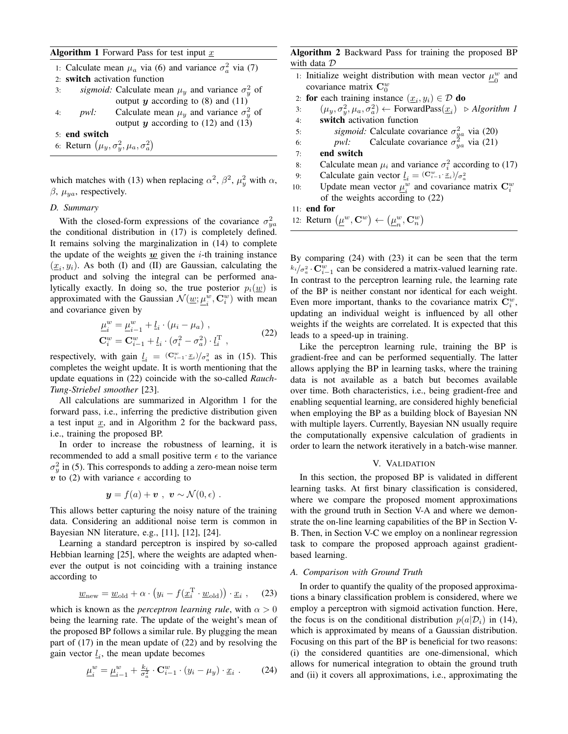## **Algorithm 1** Forward Pass for test input  $x$

|                                                    | 1: Calculate mean $\mu_a$ via (6) and variance $\sigma_a^2$ via (7) |                                                              |  |
|----------------------------------------------------|---------------------------------------------------------------------|--------------------------------------------------------------|--|
|                                                    | 2: switch activation function                                       |                                                              |  |
| 3:                                                 |                                                                     | sigmoid: Calculate mean $\mu_y$ and variance $\sigma_y^2$ of |  |
|                                                    |                                                                     | output $y$ according to (8) and (11)                         |  |
|                                                    |                                                                     | 4: pwl: Calculate mean $\mu_y$ and variance $\sigma_y^2$ of  |  |
|                                                    |                                                                     | output $y$ according to (12) and (13)                        |  |
|                                                    | 5: end switch                                                       |                                                              |  |
| 6: Return $(\mu_y, \sigma_y^2, \mu_a, \sigma_a^2)$ |                                                                     |                                                              |  |
|                                                    |                                                                     |                                                              |  |

which matches with (13) when replacing  $\alpha^2$ ,  $\beta^2$ ,  $\mu_y^2$  with  $\alpha$ ,  $\beta$ ,  $\mu_{ya}$ , respectively.

# *D. Summary*

With the closed-form expressions of the covariance  $\sigma_{ya}^2$ the conditional distribution in (17) is completely defined. It remains solving the marginalization in (14) to complete the update of the weights  $w$  given the *i*-th training instance  $(\underline{x}_i, y_i)$ . As both (I) and (II) are Gaussian, calculating the product and solving the integral can be performed analytically exactly. In doing so, the true posterior  $p_i(w)$  is approximated with the Gaussian  $\mathcal{N}(\underline{w}; \mu_s^{\underline{w}})$  $_i^w$ ,  $\mathbf{C}_i^w$ ) with mean and covariance given by

$$
\begin{aligned}\n\underline{\mu}_{i}^{w} &= \underline{\mu}_{i-1}^{w} + \underline{l}_{i} \cdot (\mu_{i} - \mu_{a}) , \\
\mathbf{C}_{i}^{w} &= \mathbf{C}_{i-1}^{w} + \underline{l}_{i} \cdot (\sigma_{i}^{2} - \sigma_{a}^{2}) \cdot \underline{l}_{i}^{\mathrm{T}} ,\n\end{aligned} \tag{22}
$$

respectively, with gain  $l_i = (\mathbf{C}_{i-1}^w \cdot \mathbf{x}_i)/\sigma_a^2$  as in (15). This completes the weight update. It is worth mentioning that the update equations in (22) coincide with the so-called *Rauch-Tung-Striebel smoother* [23].

All calculations are summarized in Algorithm 1 for the forward pass, i.e., inferring the predictive distribution given a test input  $x$ , and in Algorithm 2 for the backward pass, i.e., training the proposed BP.

In order to increase the robustness of learning, it is recommended to add a small positive term  $\epsilon$  to the variance  $\sigma_y^2$  in (5). This corresponds to adding a zero-mean noise term v to (2) with variance  $\epsilon$  according to

$$
\mathbf{y} = f(a) + \mathbf{v} \ , \ \mathbf{v} \sim \mathcal{N}(0, \epsilon) \ .
$$

This allows better capturing the noisy nature of the training data. Considering an additional noise term is common in Bayesian NN literature, e.g., [11], [12], [24].

Learning a standard perceptron is inspired by so-called Hebbian learning [25], where the weights are adapted whenever the output is not coinciding with a training instance according to

$$
\underline{w}_{\text{new}} = \underline{w}_{\text{old}} + \alpha \cdot (y_i - f(\underline{x}_i^{\text{T}} \cdot \underline{w}_{\text{old}})) \cdot \underline{x}_i , \quad (23)
$$

which is known as the *perceptron learning rule*, with  $\alpha > 0$ being the learning rate. The update of the weight's mean of the proposed BP follows a similar rule. By plugging the mean part of (17) in the mean update of (22) and by resolving the gain vector  $\underline{l}_i$ , the mean update becomes

$$
\underline{\mu}_{i}^{w} = \underline{\mu}_{i-1}^{w} + \frac{k_{i}}{\sigma_{a}^{2}} \cdot \mathbf{C}_{i-1}^{w} \cdot (y_{i} - \mu_{y}) \cdot \underline{x}_{i} \ . \tag{24}
$$

# Algorithm 2 Backward Pass for training the proposed BP with data D

- 1: Initialize weight distribution with mean vector  $\mu_{0}^{w}$  $\frac{w}{0}$  and covariance matrix  $\mathbf{C}_0^w$
- 2: **for** each training instance  $(\underline{x}_i, y_i) \in \mathcal{D}$  **do**
- 3:  $(\mu_y, \sigma_y^2, \mu_a, \sigma_a^2) \leftarrow \text{ForwardPass}(\underline{x}_i) \geq Algorithm \text{ } I$
- 4: switch activation function
- 5: *sigmoid:* Calculate covariance  $\sigma_{ya}^2$  via (20)
- 6: *pwl:* Calculate covariance  $\sigma_{ya}^2$  via (21)
- 7: end switch
- 8: Calculate mean  $\mu_i$  and variance  $\sigma_i^2$  according to (17)
- 9: Calculate gain vector  $\underline{l}_i = (\mathbf{C}_{i-1}^w \cdot \underline{x}_i)/\sigma_a^2$
- 10: Update mean vector  $\mu_i^w$  $\sum_{i=1}^{w}$  and covariance matrix  $\mathbf{C}_{i}^{w}$ of the weights according to (22)

#### 11: end for

12: Return  $(\mu^w, \mathbf{C}^w) \leftarrow (\mu^w, \mu^w)$  $_{n}^w,\mathbf{C}_n^w\big)$ 

By comparing (24) with (23) it can be seen that the term  $\int k_i/\sigma_a^2 \cdot \mathbf{C}_{i-1}^w$  can be considered a matrix-valued learning rate. In contrast to the perceptron learning rule, the learning rate of the BP is neither constant nor identical for each weight. Even more important, thanks to the covariance matrix  $\mathbf{C}_i^w$ , updating an individual weight is influenced by all other weights if the weights are correlated. It is expected that this leads to a speed-up in training.

Like the perceptron learning rule, training the BP is gradient-free and can be performed sequentially. The latter allows applying the BP in learning tasks, where the training data is not available as a batch but becomes available over time. Both characteristics, i.e., being gradient-free and enabling sequential learning, are considered highly beneficial when employing the BP as a building block of Bayesian NN with multiple layers. Currently, Bayesian NN usually require the computationally expensive calculation of gradients in order to learn the network iteratively in a batch-wise manner.

### V. VALIDATION

In this section, the proposed BP is validated in different learning tasks. At first binary classification is considered, where we compare the proposed moment approximations with the ground truth in Section V-A and where we demonstrate the on-line learning capabilities of the BP in Section V-B. Then, in Section V-C we employ on a nonlinear regression task to compare the proposed approach against gradientbased learning.

## *A. Comparison with Ground Truth*

In order to quantify the quality of the proposed approximations a binary classification problem is considered, where we employ a perceptron with sigmoid activation function. Here, the focus is on the conditional distribution  $p(a|\mathcal{D}_i)$  in (14), which is approximated by means of a Gaussian distribution. Focusing on this part of the BP is beneficial for two reasons: (i) the considered quantities are one-dimensional, which allows for numerical integration to obtain the ground truth and (ii) it covers all approximations, i.e., approximating the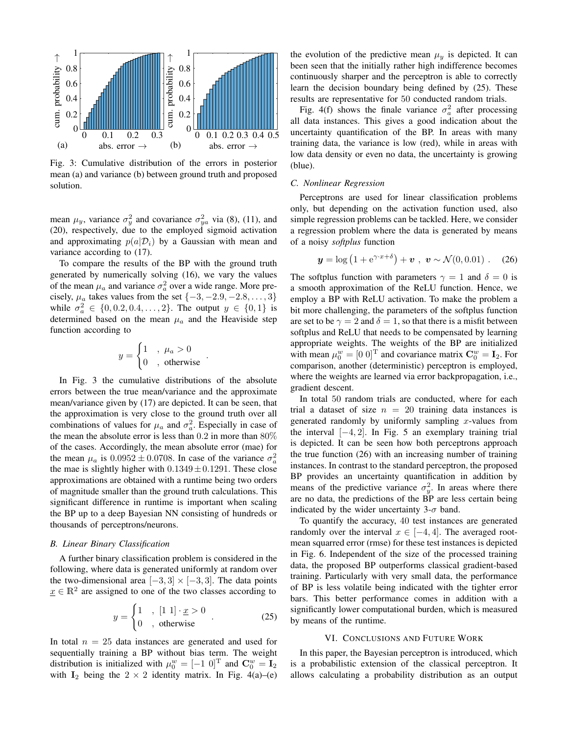

Fig. 3: Cumulative distribution of the errors in posterior mean (a) and variance (b) between ground truth and proposed solution.

mean  $\mu_y$ , variance  $\sigma_y^2$  and covariance  $\sigma_{ya}^2$  via (8), (11), and (20), respectively, due to the employed sigmoid activation and approximating  $p(a|\mathcal{D}_i)$  by a Gaussian with mean and variance according to (17).

To compare the results of the BP with the ground truth generated by numerically solving (16), we vary the values of the mean  $\mu_a$  and variance  $\sigma_a^2$  over a wide range. More precisely,  $\mu_a$  takes values from the set  $\{-3, -2.9, -2.8, \ldots, 3\}$ while  $\sigma_a^2 \in \{0, 0.2, 0.4, ..., 2\}$ . The output  $y \in \{0, 1\}$  is determined based on the mean  $\mu_a$  and the Heaviside step function according to

$$
y = \begin{cases} 1 & , \mu_a > 0 \\ 0 & , \text{ otherwise} \end{cases}
$$

.

In Fig. 3 the cumulative distributions of the absolute errors between the true mean/variance and the approximate mean/variance given by (17) are depicted. It can be seen, that the approximation is very close to the ground truth over all combinations of values for  $\mu_a$  and  $\sigma_a^2$ . Especially in case of the mean the absolute error is less than 0.2 in more than 80% of the cases. Accordingly, the mean absolute error (mae) for the mean  $\mu_a$  is  $0.0952 \pm 0.0708$ . In case of the variance  $\sigma_a^2$ the mae is slightly higher with  $0.1349 \pm 0.1291$ . These close approximations are obtained with a runtime being two orders of magnitude smaller than the ground truth calculations. This significant difference in runtime is important when scaling the BP up to a deep Bayesian NN consisting of hundreds or thousands of perceptrons/neurons.

### *B. Linear Binary Classification*

A further binary classification problem is considered in the following, where data is generated uniformly at random over the two-dimensional area  $[-3, 3] \times [-3, 3]$ . The data points  $x \in \mathbb{R}^2$  are assigned to one of the two classes according to

$$
y = \begin{cases} 1, & [1 \ 1] \cdot \underline{x} > 0 \\ 0, & \text{otherwise} \end{cases} . \tag{25}
$$

In total  $n = 25$  data instances are generated and used for sequentially training a BP without bias term. The weight distribution is initialized with  $\mu_0^w = [-1 \ 0]^T$  and  $\mathbf{C}_0^w = \mathbf{I}_2$ with  $I_2$  being the  $2 \times 2$  identity matrix. In Fig. 4(a)–(e)

the evolution of the predictive mean  $\mu_y$  is depicted. It can been seen that the initially rather high indifference becomes continuously sharper and the perceptron is able to correctly learn the decision boundary being defined by (25). These results are representative for 50 conducted random trials.

Fig. 4(f) shows the finale variance  $\sigma_a^2$  after processing all data instances. This gives a good indication about the uncertainty quantification of the BP. In areas with many training data, the variance is low (red), while in areas with low data density or even no data, the uncertainty is growing (blue).

# *C. Nonlinear Regression*

Perceptrons are used for linear classification problems only, but depending on the activation function used, also simple regression problems can be tackled. Here, we consider a regression problem where the data is generated by means of a noisy *softplus* function

$$
y = \log (1 + e^{\gamma \cdot x + \delta}) + v
$$
,  $v \sim \mathcal{N}(0, 0.01)$ . (26)

The softplus function with parameters  $\gamma = 1$  and  $\delta = 0$  is a smooth approximation of the ReLU function. Hence, we employ a BP with ReLU activation. To make the problem a bit more challenging, the parameters of the softplus function are set to be  $\gamma = 2$  and  $\delta = 1$ , so that there is a misfit between softplus and ReLU that needs to be compensated by learning appropriate weights. The weights of the BP are initialized with mean  $\mu_0^w = [0 \ 0]^T$  and covariance matrix  $\mathbf{C}_0^w = \mathbf{I}_2$ . For comparison, another (deterministic) perceptron is employed, where the weights are learned via error backpropagation, i.e., gradient descent.

In total 50 random trials are conducted, where for each trial a dataset of size  $n = 20$  training data instances is generated randomly by uniformly sampling  $x$ -values from the interval  $[-4, 2]$ . In Fig. 5 an exemplary training trial is depicted. It can be seen how both perceptrons approach the true function (26) with an increasing number of training instances. In contrast to the standard perceptron, the proposed BP provides an uncertainty quantification in addition by means of the predictive variance  $\sigma_y^2$ . In areas where there are no data, the predictions of the BP are less certain being indicated by the wider uncertainty  $3-\sigma$  band.

To quantify the accuracy, 40 test instances are generated randomly over the interval  $x \in [-4, 4]$ . The averaged rootmean squarred error (rmse) for these test instances is depicted in Fig. 6. Independent of the size of the processed training data, the proposed BP outperforms classical gradient-based training. Particularly with very small data, the performance of BP is less volatile being indicated with the tighter error bars. This better performance comes in addition with a significantly lower computational burden, which is measured by means of the runtime.

#### VI. CONCLUSIONS AND FUTURE WORK

In this paper, the Bayesian perceptron is introduced, which is a probabilistic extension of the classical perceptron. It allows calculating a probability distribution as an output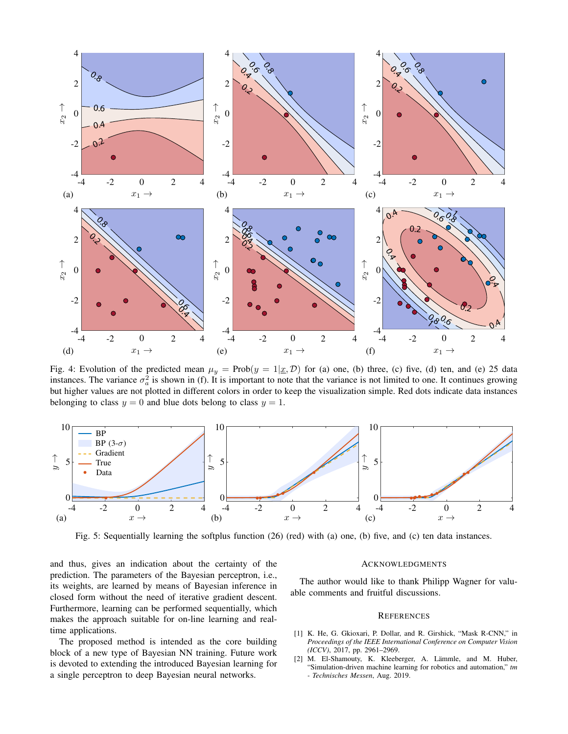

Fig. 4: Evolution of the predicted mean  $\mu_y = \text{Prob}(y = 1 | \underline{x}, \mathcal{D})$  for (a) one, (b) three, (c) five, (d) ten, and (e) 25 data instances. The variance  $\sigma_a^2$  is shown in (f). It is important to note that the variance is not limited to one. It continues growing but higher values are not plotted in different colors in order to keep the visualization simple. Red dots indicate data instances belonging to class  $y = 0$  and blue dots belong to class  $y = 1$ .



Fig. 5: Sequentially learning the softplus function (26) (red) with (a) one, (b) five, and (c) ten data instances.

and thus, gives an indication about the certainty of the prediction. The parameters of the Bayesian perceptron, i.e., its weights, are learned by means of Bayesian inference in closed form without the need of iterative gradient descent. Furthermore, learning can be performed sequentially, which makes the approach suitable for on-line learning and realtime applications.

The proposed method is intended as the core building block of a new type of Bayesian NN training. Future work is devoted to extending the introduced Bayesian learning for a single perceptron to deep Bayesian neural networks.

#### ACKNOWLEDGMENTS

The author would like to thank Philipp Wagner for valuable comments and fruitful discussions.

### **REFERENCES**

- [1] K. He, G. Gkioxari, P. Dollar, and R. Girshick, "Mask R-CNN," in *Proceedings of the IEEE International Conference on Computer Vision (ICCV)*, 2017, pp. 2961–2969.
- [2] M. El-Shamouty, K. Kleeberger, A. Lämmle, and M. Huber, "Simulation-driven machine learning for robotics and automation," *tm - Technisches Messen*, Aug. 2019.